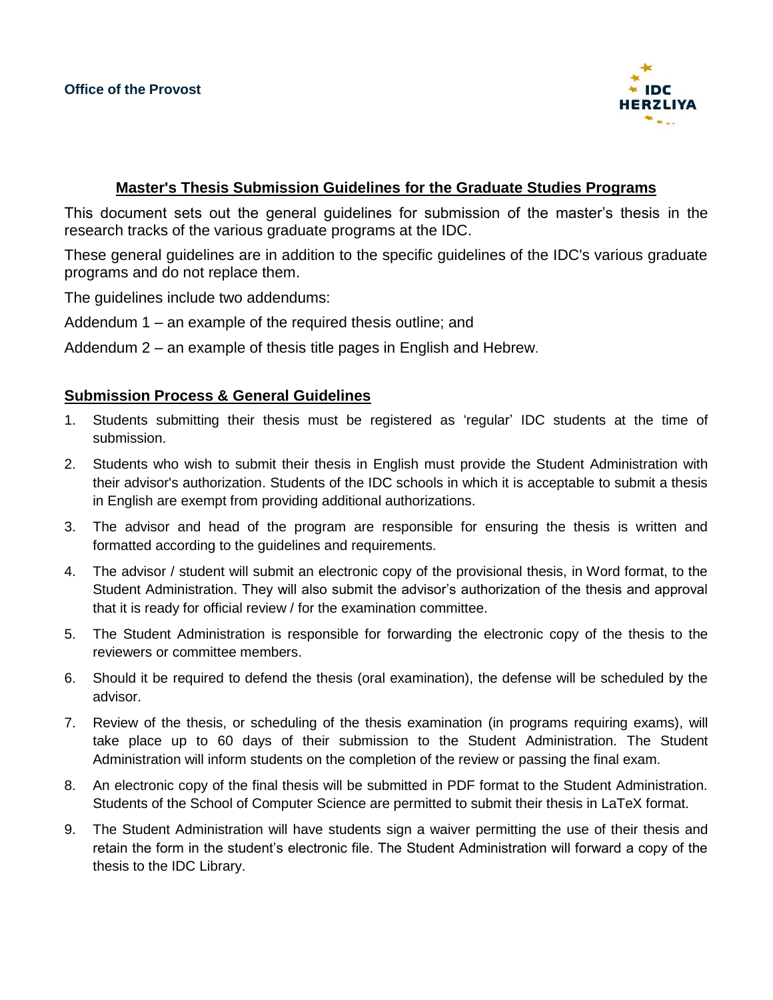

### **Master's Thesis Submission Guidelines for the Graduate Studies Programs**

This document sets out the general guidelines for submission of the master's thesis in the research tracks of the various graduate programs at the IDC.

These general guidelines are in addition to the specific guidelines of the IDC's various graduate programs and do not replace them.

The guidelines include two addendums:

### Addendum 1 – an example of the required thesis outline; and

Addendum 2 – an example of thesis title pages in English and Hebrew.

### **Submission Process & General Guidelines**

- 1. Students submitting their thesis must be registered as 'regular' IDC students at the time of submission.
- 2. Students who wish to submit their thesis in English must provide the Student Administration with their advisor's authorization. Students of the IDC schools in which it is acceptable to submit a thesis in English are exempt from providing additional authorizations.
- 3. The advisor and head of the program are responsible for ensuring the thesis is written and formatted according to the guidelines and requirements.
- 4. The advisor / student will submit an electronic copy of the provisional thesis, in Word format, to the Student Administration. They will also submit the advisor's authorization of the thesis and approval that it is ready for official review / for the examination committee.
- 5. The Student Administration is responsible for forwarding the electronic copy of the thesis to the reviewers or committee members.
- 6. Should it be required to defend the thesis (oral examination), the defense will be scheduled by the advisor.
- 7. Review of the thesis, or scheduling of the thesis examination (in programs requiring exams), will take place up to 60 days of their submission to the Student Administration. The Student Administration will inform students on the completion of the review or passing the final exam.
- 8. An electronic copy of the final thesis will be submitted in PDF format to the Student Administration. Students of the School of Computer Science are permitted to submit their thesis in LaTeX format.
- 9. The Student Administration will have students sign a waiver permitting the use of their thesis and retain the form in the student's electronic file. The Student Administration will forward a copy of the thesis to the IDC Library.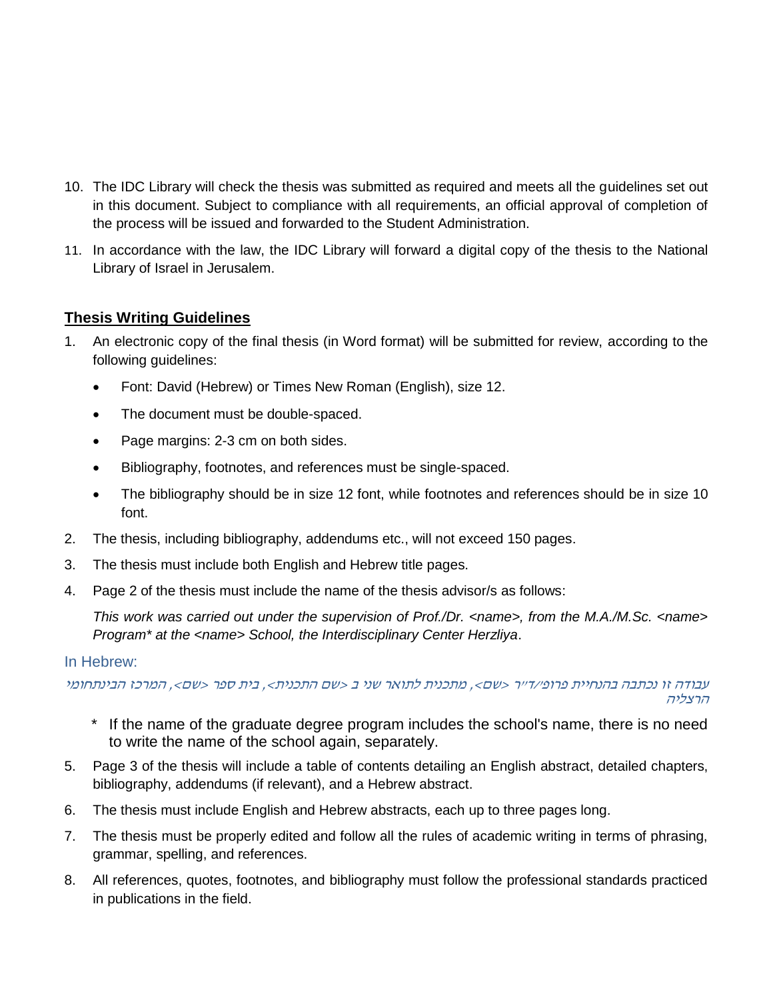- 10. The IDC Library will check the thesis was submitted as required and meets all the guidelines set out in this document. Subject to compliance with all requirements, an official approval of completion of the process will be issued and forwarded to the Student Administration.
- 11. In accordance with the law, the IDC Library will forward a digital copy of the thesis to the National Library of Israel in Jerusalem.

## **Thesis Writing Guidelines**

- 1. An electronic copy of the final thesis (in Word format) will be submitted for review, according to the following guidelines:
	- Font: David (Hebrew) or Times New Roman (English), size 12.
	- The document must be double-spaced.
	- Page margins: 2-3 cm on both sides.
	- Bibliography, footnotes, and references must be single-spaced.
	- The bibliography should be in size 12 font, while footnotes and references should be in size 10 font.
- 2. The thesis, including bibliography, addendums etc., will not exceed 150 pages.
- 3. The thesis must include both English and Hebrew title pages.
- 4. Page 2 of the thesis must include the name of the thesis advisor/s as follows:

*This work was carried out under the supervision of Prof./Dr. <name>, from the M.A./M.Sc. <name> Program\* at the <name> School, the Interdisciplinary Center Herzliya*.

### In Hebrew:

עבודה זו נכתבה בהנחיית פרופ'/ד"ר >שם<, מתכנית לתואר שני ב >שם התכנית<, בית ספר >שם<, המרכז הבינתחומי הרצליה

- \* If the name of the graduate degree program includes the school's name, there is no need to write the name of the school again, separately.
- 5. Page 3 of the thesis will include a table of contents detailing an English abstract, detailed chapters, bibliography, addendums (if relevant), and a Hebrew abstract.
- 6. The thesis must include English and Hebrew abstracts, each up to three pages long.
- 7. The thesis must be properly edited and follow all the rules of academic writing in terms of phrasing, grammar, spelling, and references.
- 8. All references, quotes, footnotes, and bibliography must follow the professional standards practiced in publications in the field.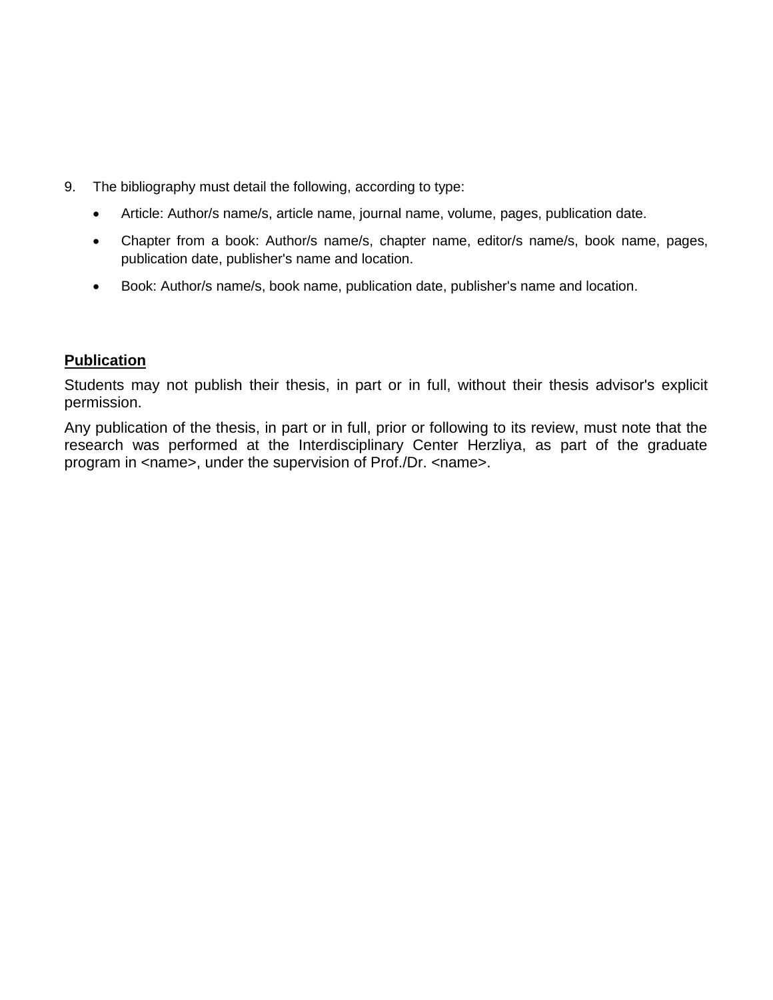- 9. The bibliography must detail the following, according to type:
	- Article: Author/s name/s, article name, journal name, volume, pages, publication date.
	- Chapter from a book: Author/s name/s, chapter name, editor/s name/s, book name, pages, publication date, publisher's name and location.
	- Book: Author/s name/s, book name, publication date, publisher's name and location.

### **Publication**

Students may not publish their thesis, in part or in full, without their thesis advisor's explicit permission.

Any publication of the thesis, in part or in full, prior or following to its review, must note that the research was performed at the Interdisciplinary Center Herzliya, as part of the graduate program in <name>, under the supervision of Prof./Dr. <name>.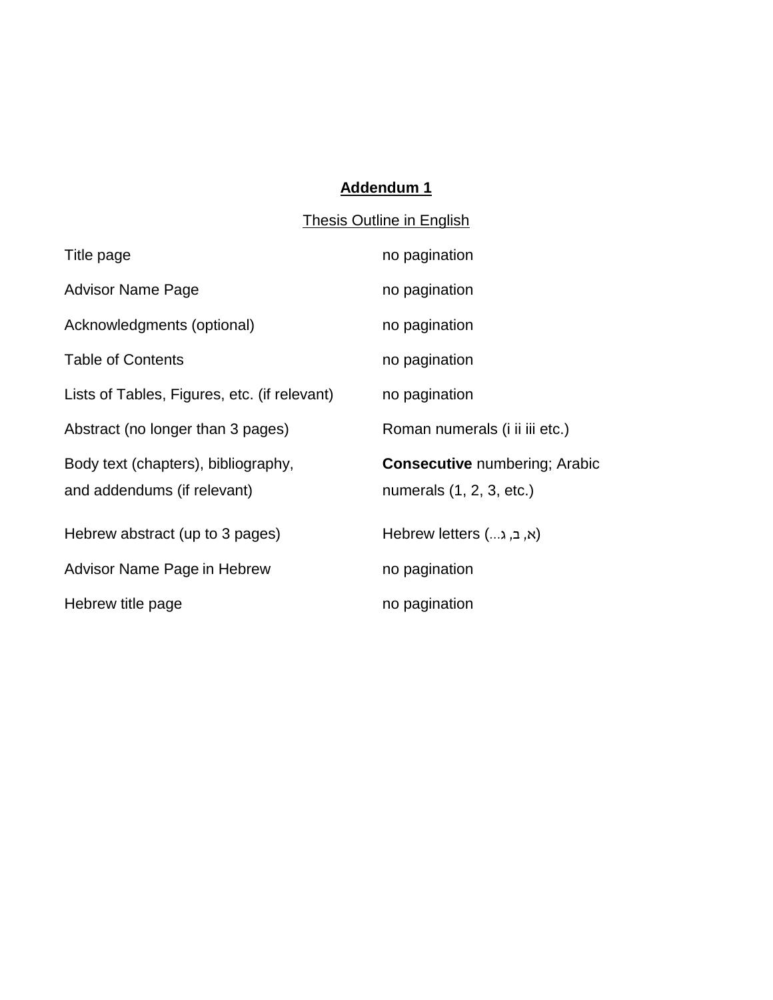# **Addendum 1**

# Thesis Outline in English

| Title page                                   | no pagination                        |
|----------------------------------------------|--------------------------------------|
| <b>Advisor Name Page</b>                     | no pagination                        |
| Acknowledgments (optional)                   | no pagination                        |
| <b>Table of Contents</b>                     | no pagination                        |
| Lists of Tables, Figures, etc. (if relevant) | no pagination                        |
| Abstract (no longer than 3 pages)            | Roman numerals (i ii iii etc.)       |
| Body text (chapters), bibliography,          | <b>Consecutive numbering; Arabic</b> |
| and addendums (if relevant)                  | numerals (1, 2, 3, etc.)             |
| Hebrew abstract (up to 3 pages)              | (א, ב, ג) Hebrew letters             |
| Advisor Name Page in Hebrew                  | no pagination                        |
| Hebrew title page                            | no pagination                        |